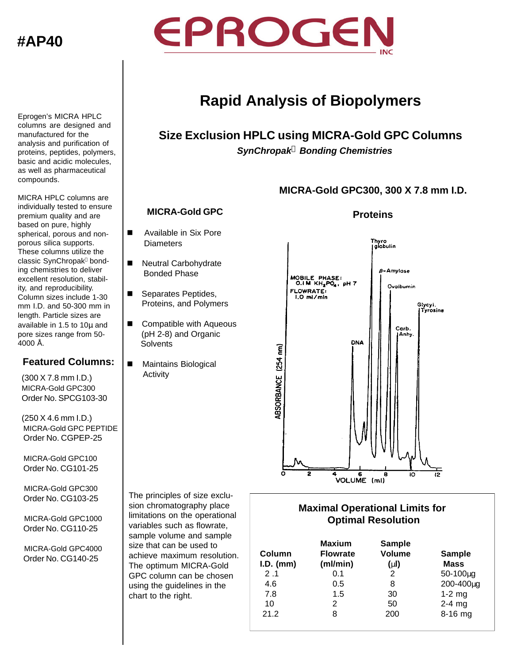# **#AP40**



**Rapid Analysis of Biopolymers**

# **Size Exclusion HPLC using MICRA-Gold GPC Columns** *SynChropak***â** *Bonding Chemistries*

### **MICRA-Gold GPC300, 300 X 7.8 mm I.D.**

#### **MICRA-Gold GPC**

- **No. Available in Six Pore Diameters**
- Neutral Carbohydrate Bonded Phase
- Separates Peptides, Proteins, and Polymers
- Compatible with Aqueous (pH 2-8) and Organic **Solvents**
- Maintains Biological Activity

The principles of size exclusion chromatography place limitations on the operational variables such as flowrate, sample volume and sample size that can be used to achieve maximum resolution. The optimum MICRA-Gold GPC column can be chosen using the guidelines in the chart to the right.

#### **Proteins**



### **Maximal Operational Limits for Optimal Resolution**

| Column<br>$I.D.$ (mm) | <b>Maxium</b><br><b>Flowrate</b><br>(ml/min) | <b>Sample</b><br><b>Volume</b><br>(m) | <b>Sample</b><br><b>Mass</b> |
|-----------------------|----------------------------------------------|---------------------------------------|------------------------------|
| 2.1                   | 0.1                                          | 2                                     | $50 - 100 \mu g$             |
| 4.6                   | 0.5                                          | 8                                     | 200-400µg                    |
| 7.8                   | 1.5                                          | 30                                    | $1-2$ mg                     |
| 10                    | 2                                            | 50                                    | $2-4$ mg                     |
| 21.2                  | 8                                            | 200                                   | 8-16 mg                      |

proteins, peptides, polymers, basic and acidic molecules, as well as pharmaceutical compounds. MICRA HPLC columns are

Eprogen's MICRA HPLC columns are designed and manufactured for the analysis and purification of

individually tested to ensure premium quality and are based on pure, highly spherical, porous and nonporous silica supports. These columns utilize the classic SynChropak<sup>®</sup> bonding chemistries to deliver excellent resolution, stability, and reproducibility. Column sizes include 1-30 mm I.D. and 50-300 mm in length. Particle sizes are available in 1.5 to 10μ and pore sizes range from 50- 4000 Å.

## **Featured Columns:**

(300 X 7.8 mm I.D.) MICRA-Gold GPC300 Order No. SPCG103-30

(250 X 4.6 mm I.D.) MICRA-Gold GPC PEPTIDE Order No. CGPEP-25

 MICRA-Gold GPC100 Order No. CG101-25

MICRA-Gold GPC300 Order No. CG103-25

MICRA-Gold GPC1000 Order No. CG110-25

MICRA-Gold GPC4000 Order No. CG140-25